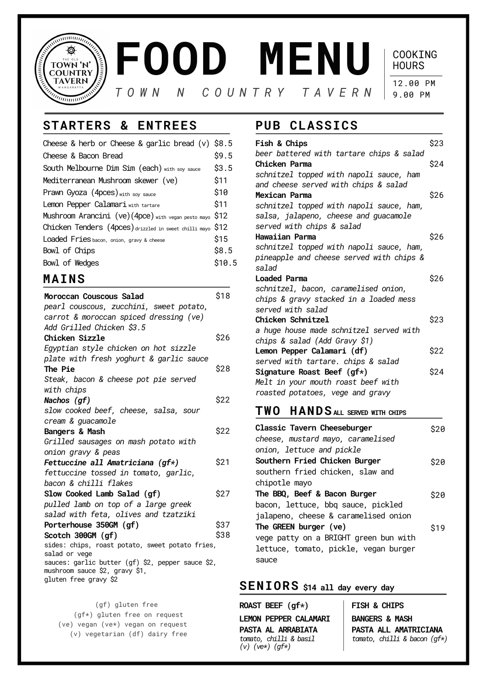

**FOOD MENU** *T O W N N C O U N T R Y T A V E R N*

COOKING **HOURS** 

12.00 PM 9.00 PM

# **STARTERS & ENTREES PUB CLASSICS**

| Cheese & herb or Cheese & garlic bread $(v)$ \$8.5         |        |
|------------------------------------------------------------|--------|
| Cheese & Bacon Bread                                       | \$9.5  |
| South Melbourne Dim Sim (each) with soy sauce              | \$3.5  |
| Mediterranean Mushroom skewer (ve)                         | \$11   |
| Prawn Gyoza (4pces) with soy sauce                         | \$10   |
| Lemon Pepper Calamari with tartare                         | \$11   |
| Mushroom Arancini (ve) (4pce) with vegan pesto mayo \$12   |        |
| Chicken Tenders (4pces) drizzled in sweet chilli mayo \$12 |        |
| Loaded Fries bacon, onion, gravy & cheese                  | \$15   |
| Bowl of Chips                                              | \$8.5  |
| Bowl of Wedges                                             | \$10.5 |
|                                                            |        |

## **MAINS**

| Moroccan Couscous Salad                                 | \$18 |
|---------------------------------------------------------|------|
| pearl couscous, zucchini, sweet potato,                 |      |
| carrot & moroccan spiced dressing (ve)                  |      |
| Add Grilled Chicken \$3.5                               |      |
| Chicken Sizzle                                          | \$26 |
| Egyptian style chicken on hot sizzle                    |      |
| plate with fresh yoghurt & garlic sauce                 |      |
| The Pie                                                 | \$28 |
| Steak, bacon & cheese pot pie served                    |      |
| with chips                                              |      |
| Nachos (gf)                                             | \$22 |
| slow cooked beef, cheese, salsa, sour                   |      |
| cream & guacamole                                       |      |
| <b>Bangers &amp; Mash</b>                               | \$22 |
| Grilled sausages on mash potato with                    |      |
| onion gravy & peas                                      |      |
| Fettuccine all Amatriciana ( $gf$ *)                    | \$21 |
| fettuccine tossed in tomato, garlic,                    |      |
| bacon & chilli flakes                                   |      |
| Slow Cooked Lamb Salad (gf)                             | \$27 |
| pulled lamb on top of a large greek                     |      |
| salad with feta, olives and tzatziki                    |      |
| Porterhouse 350GM (gf)                                  | \$37 |
| Scotch 300GM (gf)                                       | \$38 |
| sides: chips, roast potato, sweet potato fries,         |      |
| salad or vege                                           |      |
| sauces: garlic butter (gf) \$2, pepper sauce \$2,       |      |
| mushroom sauce \$2, gravy \$1,<br>gluten free gravy \$2 |      |
|                                                         |      |

(gf) gluten free (gf\*) gluten free on request (ve) vegan (ve\*) vegan on request (v) vegetarian (df) dairy free

| Fish & Chips                             | \$23 |
|------------------------------------------|------|
| beer battered with tartare chips & salad |      |
| Chicken Parma                            | \$24 |
| schnitzel topped with napoli sauce, ham  |      |
| and cheese served with chips & salad     |      |
| <b>Mexican Parma</b>                     | \$26 |
| schnitzel topped with napoli sauce, ham, |      |
| salsa, jalapeno, cheese and guacamole    |      |
| served with chips & salad                |      |
| Hawaiian Parma                           | \$26 |
| schnitzel topped with napoli sauce, ham, |      |
| pineapple and cheese served with chips & |      |
| salad                                    |      |
| <b>Loaded Parma</b>                      | \$26 |
| schnitzel, bacon, caramelised onion,     |      |
| chips & gravy stacked in a loaded mess   |      |
| served with salad                        |      |
| Chicken Schnitzel                        | \$23 |
| a huge house made schnitzel served with  |      |
| chips & salad (Add Gravy \$1)            |      |
| Lemon Pepper Calamari (df)               | \$22 |
| served with tartare. chips & salad       |      |
| Signature Roast Beef (gf*)               | \$24 |
| Melt in your mouth roast beef with       |      |
| roasted potatoes, vege and gravy         |      |
|                                          |      |

## **ALL SERVED WITH CHIPS TWO HANDS**

| Classic Tavern Cheeseburger<br>cheese, mustard mayo, caramelised | 820  |
|------------------------------------------------------------------|------|
| onion, lettuce and pickle                                        |      |
| Southern Fried Chicken Burger                                    | S20  |
| southern fried chicken, slaw and                                 |      |
| chipotle mayo                                                    |      |
| The BBQ, Beef & Bacon Burger                                     | S20  |
| bacon, lettuce, bbq sauce, pickled                               |      |
| jalapeno, cheese & caramelised onion                             |      |
| The GREEN burger (ve)                                            | \$19 |
| vege patty on a BRIGHT green bun with                            |      |
| lettuce, tomato, pickle, vegan burger                            |      |
| sauce                                                            |      |

### **SENIORS \$14 all day every day**

**ROAST BEEF (gf\*) FISH & CHIPS LEMON PEPPER CALAMARI BANGERS & MASH PASTA AL ARRABIATA PASTA ALL AMATRICIANA** *(v) (ve\*) (gf\*)*

*tomato, chilli & basil tomato, chilli & bacon (gf\*)*